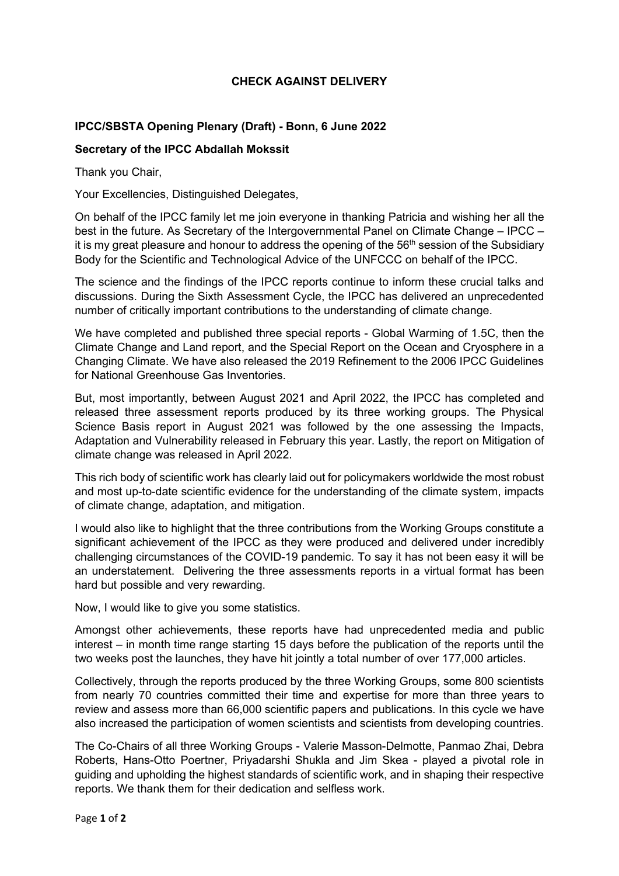## **CHECK AGAINST DELIVERY**

## **IPCC/SBSTA Opening Plenary (Draft) - Bonn, 6 June 2022**

## **Secretary of the IPCC Abdallah Mokssit**

Thank you Chair,

Your Excellencies, Distinguished Delegates,

On behalf of the IPCC family let me join everyone in thanking Patricia and wishing her all the best in the future. As Secretary of the Intergovernmental Panel on Climate Change – IPCC – it is my great pleasure and honour to address the opening of the  $56<sup>th</sup>$  session of the Subsidiary Body for the Scientific and Technological Advice of the UNFCCC on behalf of the IPCC.

The science and the findings of the IPCC reports continue to inform these crucial talks and discussions. During the Sixth Assessment Cycle, the IPCC has delivered an unprecedented number of critically important contributions to the understanding of climate change.

We have completed and published three special reports - Global Warming of 1.5C, then the Climate Change and Land report, and the Special Report on the Ocean and Cryosphere in a Changing Climate. We have also released the 2019 Refinement to the 2006 IPCC Guidelines for National Greenhouse Gas Inventories.

But, most importantly, between August 2021 and April 2022, the IPCC has completed and released three assessment reports produced by its three working groups. The Physical Science Basis report in August 2021 was followed by the one assessing the Impacts, Adaptation and Vulnerability released in February this year. Lastly, the report on Mitigation of climate change was released in April 2022.

This rich body of scientific work has clearly laid out for policymakers worldwide the most robust and most up-to-date scientific evidence for the understanding of the climate system, impacts of climate change, adaptation, and mitigation.

I would also like to highlight that the three contributions from the Working Groups constitute a significant achievement of the IPCC as they were produced and delivered under incredibly challenging circumstances of the COVID-19 pandemic. To say it has not been easy it will be an understatement. Delivering the three assessments reports in a virtual format has been hard but possible and very rewarding.

Now, I would like to give you some statistics.

Amongst other achievements, these reports have had unprecedented media and public interest – in month time range starting 15 days before the publication of the reports until the two weeks post the launches, they have hit jointly a total number of over 177,000 articles.

Collectively, through the reports produced by the three Working Groups, some 800 scientists from nearly 70 countries committed their time and expertise for more than three years to review and assess more than 66,000 scientific papers and publications. In this cycle we have also increased the participation of women scientists and scientists from developing countries.

The Co-Chairs of all three Working Groups - Valerie Masson-Delmotte, Panmao Zhai, Debra Roberts, Hans-Otto Poertner, Priyadarshi Shukla and Jim Skea - played a pivotal role in guiding and upholding the highest standards of scientific work, and in shaping their respective reports. We thank them for their dedication and selfless work.